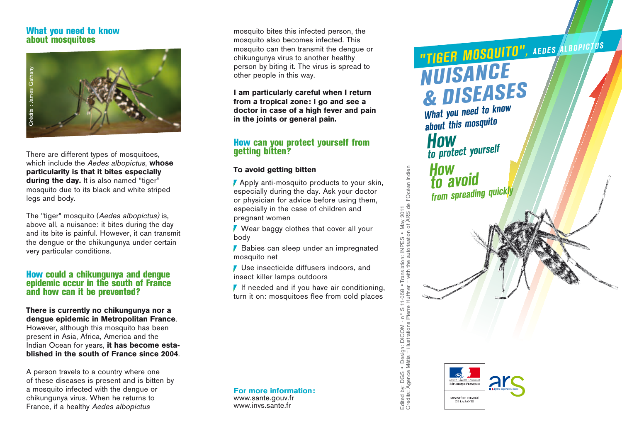### **What you need to know about mosquitoes**



There are different types of mosquitoes, which include the Aedes albopictus, **whose particularity is that it bites especially**  during the day. It is also named "tiger" mosquito due to its black and white striped legs and body.

The "tiger" mosquito (Aedes albopictus) is, above all, a nuisance: it bites during the day and its bite is painful. However, it can transmit the dengue or the chikungunya under certain very particular conditions.

### **How could a chikungunya and dengue epidemic occur in the south of France and how can it be prevented?**

**There is currently no chikungunya nor a dengue epidemic in Metropolitan France**. However, although this mosquito has been present in Asia, Africa, America and the Indian Ocean for years, **it has become established in the south of France since 2004**.

A person travels to a country where one of these diseases is present and is bitten by a mosquito infected with the dengue or chikungunya virus. When he returns to<br>France, if a healthy Aedes albopictus

mosquito bites this infected person, the mosquito also becomes infected. This mosquito can then transmit the dengue or chikungunya virus to another healthy person by biting it. The virus is spread to other people in this way.

**I am particularly careful when I return from a tropical zone: I go and see a doctor in case of a high fever and pain in the joints or general pain.**

### **How can you protect yourself from getting bitten?**

### **To avoid getting bitten**

**Apply anti-mosquito products to your skin,** especially during the day. Ask your doctor or physician for advice before using them, especially in the case of children and pregnant women

V Wear baggy clothes that cover all your body

Babies can sleep under an impregnated mosquito net

**Use insecticide diffusers indoors, and** insect killer lamps outdoors

 $\blacksquare$  If needed and if you have air conditioning, turn it on: mosquitoes flee from cold places

**For more information:** www.sante.gouv.fr www.invs.sante.fr

Credits: Agence Métis – illustrations Pierre Huffner – with the autorisation of ARS de l'Océan Indien • Translation: INPES • May 2011<br>r – with the autorisation of ARS de l'Océan Indien Edited by: DGS • Design: DICOM - n° S 11-058 •Translation: INPES • May 2011 Edited by: DGS • Design: DICOM - nº S 11-058<br>Credits: Agence Métis - illustrations Pierre Huffne



**STATE ABRIGATION** 

# *"TIGER MOSQUITO", AEDES ALBOPICTUS NUISANCE & DISEASES*

*What you need to know about this mosquito How to protect yourself*

*How to avoid from spreading quickly*